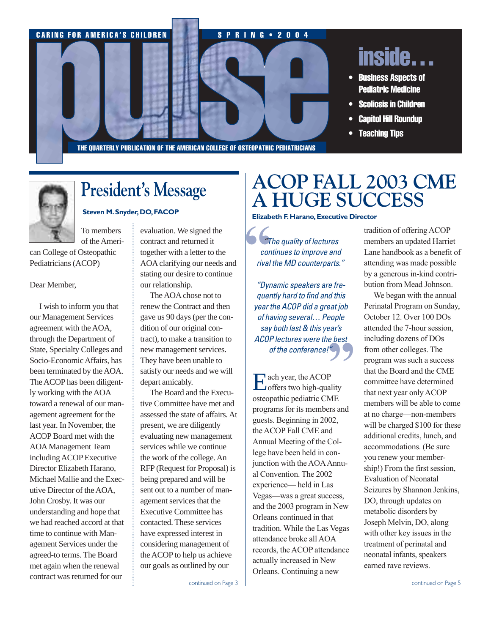

THE QUARTERLY PUBLICATION OF THE AMERICAN COLLEGE OF OSTEOPATHIC PEDIATRICIANS

To members of the Ameri-

can College of Osteopathic Pediatricians (ACOP)

### Dear Member,

I wish to inform you that our Management Services agreement with the AOA, through the Department of State, Specialty Colleges and Socio-Economic Affairs, has been terminated by the AOA. The ACOP has been diligently working with the AOA toward a renewal of our management agreement for the last year. In November, the ACOP Board met with the AOA Management Team including ACOP Executive Director Elizabeth Harano, Michael Mallie and the Executive Director of the AOA, John Crosby. It was our understanding and hope that we had reached accord at that time to continue with Management Services under the agreed-to terms. The Board met again when the renewal contract was returned for our

evaluation. We signed the contract and returned it together with a letter to the AOA clarifying our needs and stating our desire to continue our relationship.

The AOA chose not to renew the Contract and then gave us 90 days (per the condition of our original contract), to make a transition to new management services. They have been unable to satisfy our needs and we will depart amicably.

The Board and the Executive Committee have met and assessed the state of affairs. At present, we are diligently evaluating new management services while we continue the work of the college. An RFP (Request for Proposal) is being prepared and will be sent out to a number of management services that the Executive Committee has contacted. These services have expressed interest in considering management of the ACOP to help us achieve our goals as outlined by our

# **President's Message ACOP FALL 2003 CME A HUGE SUCCESS**

**Steven M.Snyder,DO,FACOP Elizabeth F.Harano,Executive Director**

**6** 6<br>
con<br>
rival *"The quality of lectures continues to improve and rival the MD counterparts."*

*"Dynamic speakers are frequently hard to find and this year the ACOP did a great job of having several… People say both last & this year's ACOP lectures were the best of the conference!"*

**"**<br>**P**<br>ality Each year, the ACOP<br>
offers two high-quality osteopathic pediatric CME programs for its members and guests. Beginning in 2002, the ACOP Fall CME and Annual Meeting of the College have been held in conjunction with the AOAAnnual Convention. The 2002 experience— held in Las Vegas—was a great success, and the 2003 program in New Orleans continued in that tradition. While the Las Vegas attendance broke all AOA records, the ACOP attendance actually increased in New Orleans. Continuing a new

tradition of offering ACOP members an updated Harriet Lane handbook as a benefit of attending was made possible by a generous in-kind contribution from Mead Johnson.

We began with the annual Perinatal Program on Sunday, October 12. Over 100 DOs attended the 7-hour session, including dozens of DOs from other colleges. The program was such a success that the Board and the CME committee have determined that next year only ACOP members will be able to come at no charge—non-members will be charged \$100 for these additional credits, lunch, and accommodations. (Be sure you renew your membership!) From the first session, Evaluation of Neonatal Seizures by Shannon Jenkins, DO, through updates on metabolic disorders by Joseph Melvin, DO, along with other key issues in the treatment of perinatal and neonatal infants, speakers earned rave reviews.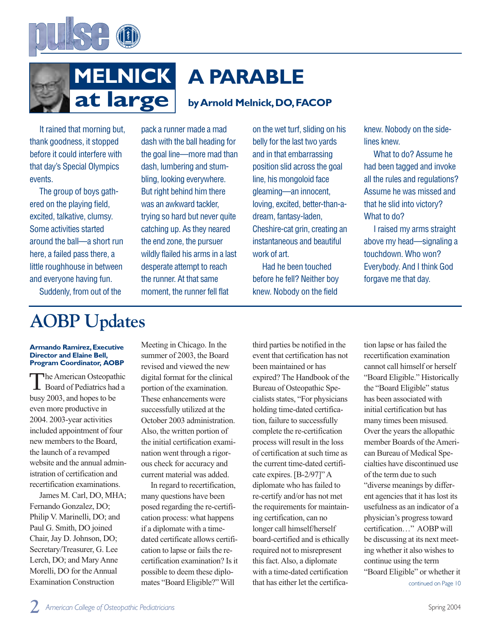



# **A PARABLE**

# **byArnold Melnick,DO,FACOP**

It rained that morning but, thank goodness, it stopped before it could interfere with that day's Special Olympics events.

The group of boys gathered on the playing field, excited, talkative, clumsy. Some activities started around the ball—a short run here, a failed pass there, a little roughhouse in between and everyone having fun.

Suddenly, from out of the

pack a runner made a mad dash with the ball heading for the goal line—more mad than dash, lumbering and stumbling, looking everywhere. But right behind him there was an awkward tackler, trying so hard but never quite catching up. As they neared the end zone, the pursuer wildly flailed his arms in a last desperate attempt to reach the runner. At that same moment, the runner fell flat

on the wet turf, sliding on his belly for the last two yards and in that embarrassing position slid across the goal line, his mongoloid face gleaming—an innocent, loving, excited, better-than-adream, fantasy-laden, Cheshire-cat grin, creating an instantaneous and beautiful work of art.

Had he been touched before he fell? Neither boy knew. Nobody on the field

knew. Nobody on the sidelines knew.

What to do? Assume he had been tagged and invoke all the rules and regulations? Assume he was missed and that he slid into victory? What to do?

I raised my arms straight above my head—signaling a touchdown. Who won? Everybody. And I think God forgave me that day.

# **AOBP Updates**

#### **Armando Ramirez,Executive Director and Elaine Bell, Program Coordinator, AOBP**

The American Osteopathic Board of Pediatrics had a busy 2003, and hopes to be even more productive in 2004. 2003-year activities included appointment of four new members to the Board, the launch of a revamped website and the annual administration of certification and recertification examinations.

James M. Carl, DO, MHA; Fernando Gonzalez, DO; Philip V. Marinelli, DO; and Paul G. Smith, DO joined Chair, Jay D. Johnson, DO; Secretary/Treasurer, G. Lee Lerch, DO; and Mary Anne Morelli, DO for the Annual Examination Construction

Meeting in Chicago. In the summer of 2003, the Board revised and viewed the new digital format for the clinical portion of the examination. These enhancements were successfully utilized at the October 2003 administration. Also, the written portion of the initial certification examination went through a rigorous check for accuracy and current material was added.

In regard to recertification, many questions have been posed regarding the re-certification process: what happens if a diplomate with a timedated certificate allows certification to lapse or fails the recertification examination? Is it possible to deem these diplomates "Board Eligible?" Will

third parties be notified in the event that certification has not been maintained or has expired? The Handbook of the Bureau of Osteopathic Specialists states, "For physicians holding time-dated certification, failure to successfully complete the re-certification process will result in the loss of certification at such time as the current time-dated certificate expires. [B-2/97]" A diplomate who has failed to re-certify and/or has not met the requirements for maintaining certification, can no longer call himself/herself board-certified and is ethically required not to misrepresent this fact. Also, a diplomate with a time-dated certification that has either let the certifica-

tion lapse or has failed the recertification examination cannot call himself or herself "Board Eligible." Historically the "Board Eligible" status has been associated with initial certification but has many times been misused. Over the years the allopathic member Boards of the American Bureau of Medical Specialties have discontinued use of the term due to such "diverse meanings by different agencies that it has lost its usefulness as an indicator of a physician's progress toward certification…" AOBP will be discussing at its next meeting whether it also wishes to continue using the term "Board Eligible" or whether it

continued on Page 10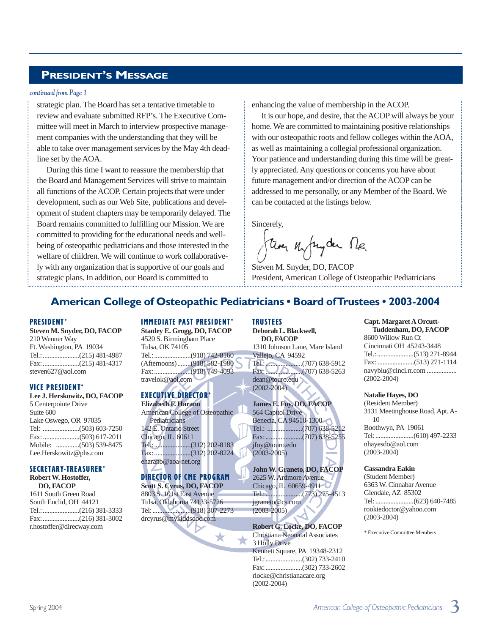# **PRESIDENT'S MESSAGE**

#### *continued from Page 1*

strategic plan. The Board has set a tentative timetable to review and evaluate submitted RFP's. The Executive Committee will meet in March to interview prospective management companies with the understanding that they will be able to take over management services by the May 4th deadline set by the AOA.

During this time I want to reassure the membership that the Board and Management Services will strive to maintain all functions of the ACOP. Certain projects that were under development, such as our Web Site, publications and development of student chapters may be temporarily delayed. The Board remains committed to fulfilling our Mission. We are committed to providing for the educational needs and wellbeing of osteopathic pediatricians and those interested in the welfare of children. We will continue to work collaboratively with any organization that is supportive of our goals and strategic plans. In addition, our Board is committed to

enhancing the value of membership in the ACOP.

It is our hope, and desire, that the ACOP will always be your home. We are committed to maintaining positive relationships with our osteopathic roots and fellow colleges within the AOA, as well as maintaining a collegial professional organization. Your patience and understanding during this time will be greatly appreciated. Any questions or concerns you have about future management and/or direction of the ACOP can be addressed to me personally, or any Member of the Board. We can be contacted at the listings below.

Sincerely,

they upryder Me.

Steven M. Snyder, DO, FACOP President, American College of Osteopathic Pediatricians

# **American College of Osteopathic Pediatricians • Board of Trustees • 2003-2004**

#### PRESIDENT\*

**Steven M. Snyder, DO, FACOP** 210 Wenner Way Ft. Washington, PA 19034 Tel.:......................(215) 481-4987 Fax:......................(215) 481-4317 steven627@aol.com

#### VICE PRESIDENT\*

**Lee J. Herskowitz, DO, FACOP** 5 Centerpointe Drive Suite 600 Lake Oswego, OR 97035 Tel: ......................(503) 603-7250 Fax: ......................(503) 617-2011 Mobile: ..............(503) 539-8475 Lee.Herskowitz@phs.com

### SECRETARY-TREASURER\*

**Robert W. Hostoffer, DO, FACOP** 1611 South Green Road South Euclid, OH 44121 Tel.:......................(216) 381-3333 Fax:......................(216) 381-3002 r.hostoffer@direcway.com

#### IMMEDIATE PAST PRESIDENT\*

**Stanley E. Grogg, DO, FACOP** 4520 S. Birmingham Place Tulsa, OK 74105 Tel.:......................(918) 742-8160 (Afternoons)........(918) 582-1980 Fax:......................(918) 749-4093 travelok@aol.com

## EXECUTIVE DIRECTOR\*

**Elizabeth F. Harano** American College of Osteopathic **Pediatricians** 142 E. Ontario Street Chicago, IL 60611 Tel.:......................(312) 202-8183 Fax:......................(312) 202-8224 eharano@aoa-net.org

# DIRECTOR OF CME PROGRAM

**Scott S. Cyrus, DO, FACOP** 8803 S. 101st East Avenue Tulsa, Oklahoma 74133-5726 Tel:.......................(918) 307-2273 drcyrus@mykiddsdoc.com

★

★

TRUSTEES

**Deborah L. Blackwell, DO, FACOP** 1310 Johnson Lane, Mare Island Vallejo, CA 94592 Tel.:......................(707) 638-5912 Fax:......................(707) 638-5263 dean@touro.edu (2002-2004)

**James E. Foy, DO, FACOP** 564 Capitol Drive Benecia, CA 94510-1300 Tel.: .....................(707) 638-5212 Fax:......................(707) 638-5255 jfoy@touro.edu (2003-2005)

**John W. Graneto, DO, FACOP** 2625 W. Ardmore Avenue Chicago, IL 60659-4911 Tel.:......................(773) 275-4513 jgraneto@cs.com (2003-2005)

**Robert G. Locke, DO, FACOP** Christiana Neonatal Associates 3 Holly Drive Kennett Square, PA 19348-2312 Tel.:......................(302) 733-2410 Fax:......................(302) 733-2602 rlocke@christianacare.org (2002-2004)

**Capt. Margaret A Orcutt-Tuddenham, DO, FACOP** 8600 Willow Run Ct Cincinnati OH 45243-3448 Tel.:......................(513) 271-8944 Fax: ......................(513) 271-1114 navyblu@cinci.rr.com .................. (2002-2004)

**Natalie Hayes, DO**  (Resident Member) 3131 Meetinghouse Road, Apt. A-10 Boothwyn, PA 19061 Tel:.......................(610) 497-2233

nhayesdo@aol.com (2003-2004)

#### **Cassandra Eakin**

(Student Member) 6363 W. Cinnabar Avenue Glendale, AZ 85302 Tel:.......................(623) 640-7485 rookiedoctor@yahoo.com (2003-2004)

\* Executive Committee Members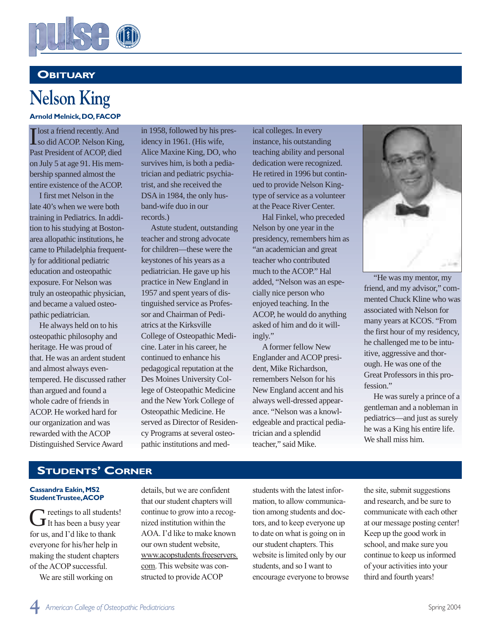

# **OBITUARY**

# **Nelson King**

**Arnold Melnick,DO,FACOP**

I so did ACOP. Nelson King, lost a friend recently. And Past President of ACOP, died on July 5 at age 91. His membership spanned almost the entire existence of the ACOP.

I first met Nelson in the late 40's when we were both training in Pediatrics. In addition to his studying at Bostonarea allopathic institutions, he came to Philadelphia frequently for additional pediatric education and osteopathic exposure. For Nelson was truly an osteopathic physician, and became a valued osteopathic pediatrician.

He always held on to his osteopathic philosophy and heritage. He was proud of that. He was an ardent student and almost always eventempered. He discussed rather than argued and found a whole cadre of friends in ACOP. He worked hard for our organization and was rewarded with the ACOP Distinguished Service Award

in 1958, followed by his presidency in 1961. (His wife, Alice Maxine King, DO, who survives him, is both a pediatrician and pediatric psychiatrist, and she received the DSA in 1984, the only husband-wife duo in our records.)

Astute student, outstanding teacher and strong advocate for children—these were the keystones of his years as a pediatrician. He gave up his practice in New England in 1957 and spent years of distinguished service as Professor and Chairman of Pediatrics at the Kirksville College of Osteopathic Medicine. Later in his career, he continued to enhance his pedagogical reputation at the Des Moines University College of Osteopathic Medicine and the New York College of Osteopathic Medicine. He served as Director of Residency Programs at several osteopathic institutions and medical colleges. In every instance, his outstanding teaching ability and personal dedication were recognized. He retired in 1996 but continued to provide Nelson Kingtype of service as a volunteer at the Peace River Center.

Hal Finkel, who preceded Nelson by one year in the presidency, remembers him as "an academician and great teacher who contributed much to the ACOP." Hal added, "Nelson was an especially nice person who enjoyed teaching. In the ACOP, he would do anything asked of him and do it willingly."

Aformer fellow New Englander and ACOP president, Mike Richardson, remembers Nelson for his New England accent and his always well-dressed appearance. "Nelson was a knowledgeable and practical pediatrician and a splendid teacher," said Mike.



"He was my mentor, my friend, and my advisor," commented Chuck Kline who was associated with Nelson for many years at KCOS. "From the first hour of my residency, he challenged me to be intuitive, aggressive and thorough. He was one of the Great Professors in this profession."

He was surely a prince of a gentleman and a nobleman in pediatrics—and just as surely he was a King his entire life. We shall miss him.

# **STUDENTS' CORNER**

#### **Cassandra Eakin, MS2 Student Trustee,ACOP**

Greetings to all students! for us, and I'd like to thank everyone for his/her help in making the student chapters of the ACOP successful.

We are still working on

details, but we are confident that our student chapters will continue to grow into a recognized institution within the AOA. I'd like to make known our own student website, www.acopstudents.freeservers. com. This website was constructed to provide ACOP

students with the latest information, to allow communication among students and doctors, and to keep everyone up to date on what is going on in our student chapters. This website is limited only by our students, and so I want to encourage everyone to browse

the site, submit suggestions and research, and be sure to communicate with each other at our message posting center! Keep up the good work in school, and make sure you continue to keep us informed of your activities into your third and fourth years!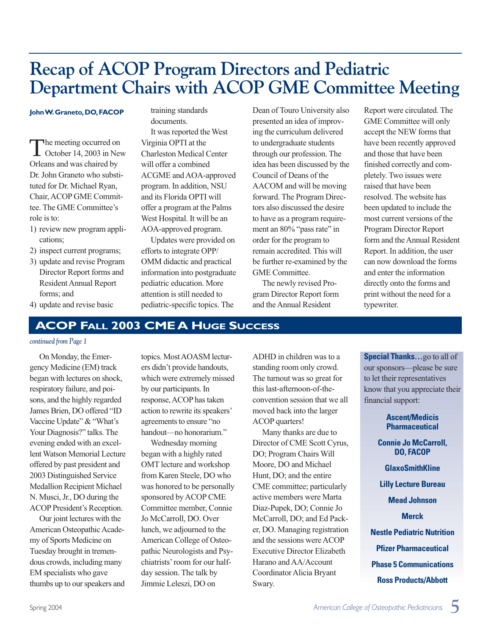# **Recap of ACOP Program Directors and Pediatric Department Chairs with ACOP GME Committee Meeting**

#### **John W.Graneto,DO,FACOP**

The meeting occurred on  $\blacksquare$  October 14, 2003 in New Orleans and was chaired by Dr. John Graneto who substituted for Dr. Michael Ryan, Chair, ACOP GME Committee. The GME Committee's role is to:

- 1) review new program applications;
- 2) inspect current programs;
- 3) update and revise Program Director Report forms and Resident Annual Report forms; and
- 4) update and revise basic

training standards documents. It was reported the West Virginia OPTI at the Charleston Medical Center will offer a combined ACGME and AOA-approved program. In addition, NSU and its Florida OPTI will offer a program at the Palms West Hospital. It will be an AOA-approved program.

Updates were provided on efforts to integrate OPP/ OMM didactic and practical information into postgraduate pediatric education. More attention is still needed to pediatric-specific topics. The

Dean of Touro University also presented an idea of improving the curriculum delivered to undergraduate students through our profession. The idea has been discussed by the Council of Deans of the AACOM and will be moving forward. The Program Directors also discussed the desire to have as a program requirement an 80% "pass rate" in order for the program to remain accredited. This will be further re-examined by the GME Committee.

The newly revised Program Director Report form and the Annual Resident

Report were circulated. The GME Committee will only accept the NEW forms that have been recently approved and those that have been finished correctly and completely. Two issues were raised that have been resolved. The website has been updated to include the most current versions of the Program Director Report form and the Annual Resident Report. In addition, the user can now download the forms and enter the information directly onto the forms and print without the need for a typewriter.

# **ACOP FALL 2003 CME A HUGE SUCCESS**

#### *continued from Page 1*

On Monday, the Emergency Medicine (EM) track began with lectures on shock, respiratory failure, and poisons, and the highly regarded James Brien, DO offered "ID Vaccine Update" & "What's Your Diagnosis?" talks. The evening ended with an excellent Watson Memorial Lecture offered by past president and 2003 Distinguished Service Medallion Recipient Michael N. Musci, Jr., DO during the ACOP President's Reception.

Our joint lectures with the American Osteopathic Academy of Sports Medicine on Tuesday brought in tremendous crowds, including many EM specialists who gave thumbs up to our speakers and topics. Most AOASM lecturers didn't provide handouts, which were extremely missed by our participants. In response, ACOP has taken action to rewrite its speakers' agreements to ensure "no handout—no honorarium."

Wednesday morning began with a highly rated OMT lecture and workshop from Karen Steele, DO who was honored to be personally sponsored by ACOP CME Committee member, Connie Jo McCarroll, DO. Over lunch, we adjourned to the American College of Osteopathic Neurologists and Psychiatrists'room for our halfday session. The talk by Jimmie Leleszi, DO on

ADHD in children was to a standing room only crowd. The turnout was so great for this last-afternoon-of-theconvention session that we all moved back into the larger ACOP quarters!

Many thanks are due to Director of CME Scott Cyrus, DO; Program Chairs Will Moore, DO and Michael Hunt, DO; and the entire CME committee; particularly active members were Marta Diaz-Pupek, DO; Connie Jo McCarroll, DO; and Ed Packer, DO. Managing registration and the sessions were ACOP Executive Director Elizabeth Harano and AA/Account Coordinator Alicia Bryant Swary.

**Special Thanks…**go to all of our sponsors—please be sure to let their representatives know that you appreciate their financial support:

- **Ascent/Medicis Pharmaceutical**
- **Connie Jo McCarroll, DO, FACOP**
	- **GlaxoSmithKline**
- **Lilly Lecture Bureau**
	- **Mead Johnson**
		- **Merck**
- **Nestle Pediatric Nutrition**
	- **Pfizer Pharmaceutical**
- **Phase 5 Communications**

### **Ross Products/Abbott**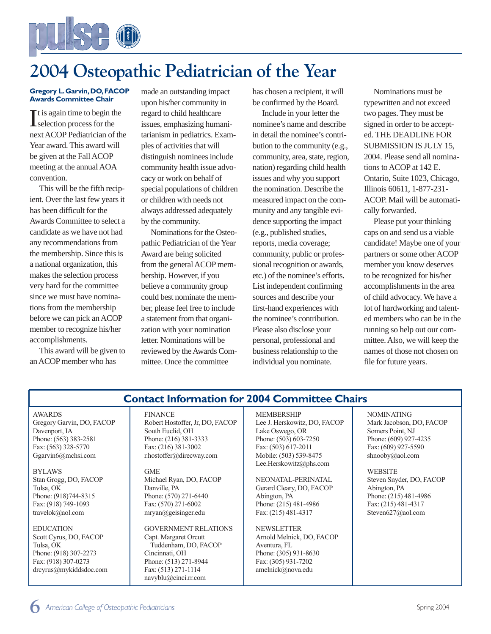

# **2004 Osteopathic Pediatrician of the Year**

#### **Gregory L.Garvin,DO,FACOP Awards Committee Chair**

It is again time to begin the<br>selection process for the selection process for the next ACOP Pediatrician of the Year award. This award will be given at the Fall ACOP meeting at the annual AOA convention.

This will be the fifth recipient. Over the last few years it has been difficult for the Awards Committee to select a candidate as we have not had any recommendations from the membership. Since this is a national organization, this makes the selection process very hard for the committee since we must have nominations from the membership before we can pick an ACOP member to recognize his/her accomplishments.

This award will be given to an ACOP member who has

made an outstanding impact upon his/her community in regard to child healthcare issues, emphasizing humanitarianism in pediatrics. Examples of activities that will distinguish nominees include community health issue advocacy or work on behalf of special populations of children or children with needs not always addressed adequately by the community.

Nominations for the Osteopathic Pediatrician of the Year Award are being solicited from the general ACOP membership. However, if you believe a community group could best nominate the member, please feel free to include a statement from that organization with your nomination letter. Nominations will be reviewed by the Awards Committee. Once the committee

has chosen a recipient, it will be confirmed by the Board.

Include in your letter the nominee's name and describe in detail the nominee's contribution to the community (e.g., community, area, state, region, nation) regarding child health issues and why you support the nomination. Describe the measured impact on the community and any tangible evidence supporting the impact (e.g., published studies, reports, media coverage; community, public or professional recognition or awards, etc.) of the nominee's efforts. List independent confirming sources and describe your first-hand experiences with the nominee's contribution. Please also disclose your personal, professional and business relationship to the individual you nominate.

Nominations must be typewritten and not exceed two pages. They must be signed in order to be accepted. THE DEADLINE FOR SUBMISSION IS JULY 15, 2004. Please send all nominations to ACOP at 142 E. Ontario, Suite 1023, Chicago, Illinois 60611, 1-877-231- ACOP. Mail will be automatically forwarded.

Please put your thinking caps on and send us a viable candidate! Maybe one of your partners or some other ACOP member you know deserves to be recognized for his/her accomplishments in the area of child advocacy. We have a lot of hardworking and talented members who can be in the running so help out our committee. Also, we will keep the names of those not chosen on file for future years.

## AWARDS Gregory Garvin, DO, FACOP Davenport, IA Phone: (563) 383-2581 Fax: (563) 328-5770 Ggarvin6@mchsi.com BYLAWS

Stan Grogg, DO, FACOP Tulsa, OK Phone: (918)744-8315 Fax: (918) 749-1093 travelok@aol.com

EDUCATION Scott Cyrus, DO, FACOP Tulsa, OK Phone: (918) 307-2273 Fax: (918) 307-0273 drcyrus@mykiddsdoc.com

# **Contact Information for 2004 Committee Chairs**

#### FINANCE

Robert Hostoffer, Jr, DO, FACOP South Euclid, OH Phone: (216) 381-3333 Fax: (216) 381-3002 r.hostoffer@direcway.com

GME Michael Ryan, DO, FACOP Danville, PA Phone: (570) 271-6440 Fax: (570) 271-6002 mryan@geisinger.edu

GOVERNMENT RELATIONS Capt. Margaret Orcutt Tuddenham, DO, FACOP Cincinnati, OH Phone: (513) 271-8944 Fax: (513) 271-1114 navyblu@cinci.rr.com

MEMBERSHIP Lee J. Herskowitz, DO, FACOP Lake Oswego, OR Phone: (503) 603-7250 Fax: (503) 617-2011 Mobile: (503) 539-8475 Lee.Herskowitz@phs.com

NEONATAL-PERINATAL Gerard Cleary, DO, FACOP Abington, PA Phone: (215) 481-4986 Fax: (215) 481-4317

NEWSLETTER Arnold Melnick, DO, FACOP Aventura, FL Phone: (305) 931-8630 Fax: (305) 931-7202 amelnick@nova.edu

NOMINATING Mark Jacobson, DO, FACOP Somers Point, NJ Phone: (609) 927-4235 Fax: (609) 927-5590 shnooby@aol.com

WEBSITE Steven Snyder, DO, FACOP Abington, PA Phone: (215) 481-4986 Fax: (215) 481-4317 Steven627@aol.com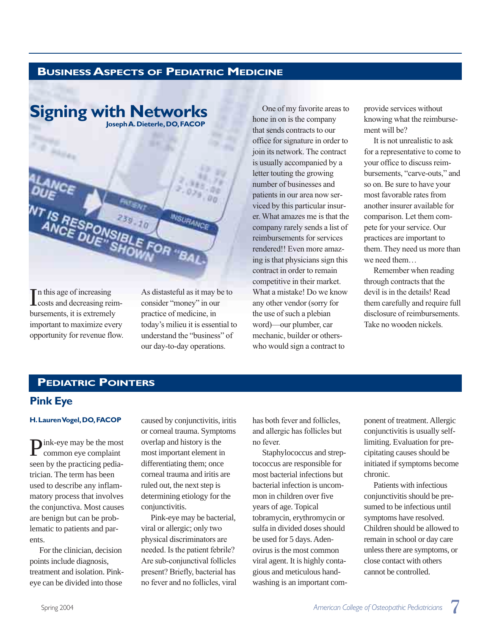# **BUSINESSASPECTS OF PEDIATRIC MEDICINE**



In this age of increasing<br>costs and decreasing re costs and decreasing reimbursements, it is extremely important to maximize every opportunity for revenue flow. As distasteful as it may be to consider "money" in our practice of medicine, in today's milieu it is essential to understand the "business" of our day-to-day operations.

One of my favorite areas to hone in on is the company that sends contracts to our office for signature in order to join its network. The contract is usually accompanied by a letter touting the growing number of businesses and patients in our area now serviced by this particular insurer. What amazes me is that the company rarely sends a list of reimbursements for services rendered!! Even more amazing is that physicians sign this contract in order to remain competitive in their market. What a mistake! Do we know any other vendor (sorry for the use of such a plebian word)—our plumber, car mechanic, builder or otherswho would sign a contract to

provide services without knowing what the reimbursement will be?

It is not unrealistic to ask for a representative to come to your office to discuss reimbursements, "carve-outs," and so on. Be sure to have your most favorable rates from another insurer available for comparison. Let them compete for your service. Our practices are important to them. They need us more than we need them…

Remember when reading through contracts that the devil is in the details! Read them carefully and require full disclosure of reimbursements. Take no wooden nickels.

# **PEDIATRIC POINTERS**

### **Pink Eye**

#### **H.Lauren Vogel,DO,FACOP**

Pink-eye may be the most common eye complaint seen by the practicing pediatrician. The term has been used to describe any inflammatory process that involves the conjunctiva. Most causes are benign but can be problematic to patients and parents.

For the clinician, decision points include diagnosis, treatment and isolation. Pinkeye can be divided into those

caused by conjunctivitis, iritis or corneal trauma. Symptoms overlap and history is the most important element in differentiating them; once corneal trauma and iritis are ruled out, the next step is determining etiology for the conjunctivitis.

Pink-eye may be bacterial, viral or allergic; only two physical discriminators are needed. Is the patient febrile? Are sub-conjunctival follicles present? Briefly, bacterial has no fever and no follicles, viral has both fever and follicles, and allergic has follicles but no fever.

Staphylococcus and streptococcus are responsible for most bacterial infections but bacterial infection is uncommon in children over five years of age. Topical tobramycin, erythromycin or sulfa in divided doses should be used for 5 days. Adenovirus is the most common viral agent. It is highly contagious and meticulous handwashing is an important component of treatment. Allergic conjunctivitis is usually selflimiting. Evaluation for precipitating causes should be initiated if symptoms become chronic.

Patients with infectious conjunctivitis should be presumed to be infectious until symptoms have resolved. Children should be allowed to remain in school or day care unless there are symptoms, or close contact with others cannot be controlled.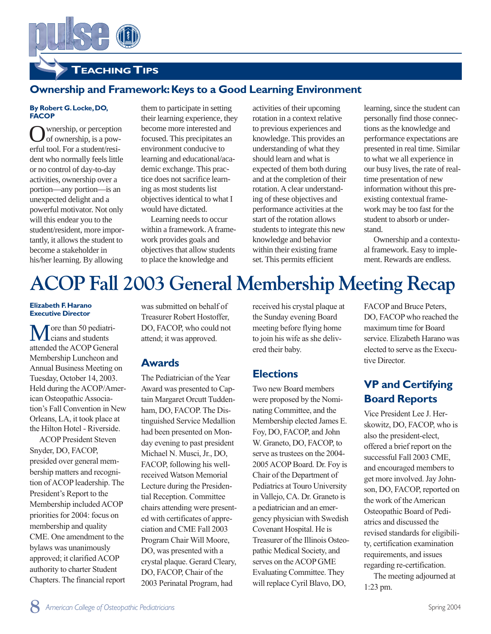**8** *American College of Osteopathic Pediatricians* Spring 2004

**VP and Certifying Board Reports** Vice President Lee J. Herskowitz, DO, FACOP, who is also the president-elect, offered a brief report on the successful Fall 2003 CME, and encouraged members to get more involved. Jay Johnson, DO, FACOP, reported on the work of the American Osteopathic Board of Pediatrics and discussed the revised standards for eligibility, certification examination requirements, and issues regarding re-certification. The meeting adjourned at

existing contextual framework may be too fast for the student to absorb or under-Ownership and a contextument. Rewards are endless.

learning, since the student can personally find those connections as the knowledge and performance expectations are presented in real time. Similar to what we all experience in our busy lives, the rate of realtime presentation of new information without this pre-

stand. al framework. Easy to imple-

FACOP and Bruce Peters, DO, FACOP who reached the maximum time for Board service. Elizabeth Harano was elected to serve as the Execu-

tive Director.

1:23 pm.

**TEACHING TIPS**

# **Ownership and Framework: Keys to a Good Learning Environment**

#### **By Robert G.Locke,DO, FACOP**

Ownership, or perception<br>
of ownership, is a powerful tool. For a student/resident who normally feels little or no control of day-to-day activities, ownership over a portion—any portion—is an unexpected delight and a powerful motivator. Not only will this endear you to the student/resident, more importantly, it allows the student to become a stakeholder in his/her learning. By allowing

them to participate in setting their learning experience, they become more interested and focused. This precipitates an environment conducive to learning and educational/academic exchange. This practice does not sacrifice learning as most students list objectives identical to what I would have dictated.

Learning needs to occur within a framework. A framework provides goals and objectives that allow students to place the knowledge and

activities of their upcoming rotation in a context relative to previous experiences and knowledge. This provides an understanding of what they should learn and what is expected of them both during and at the completion of their rotation. A clear understanding of these objectives and performance activities at the start of the rotation allows students to integrate this new knowledge and behavior within their existing frame set. This permits efficient

# **ACOP Fall 2003 General Membership Meeting Recap**

#### **Elizabeth F.Harano Executive Director**

 $\sqrt{\ }$  ore than 50 pediatricians and students attended the ACOP General Membership Luncheon and Annual Business Meeting on Tuesday, October 14, 2003. Held during the ACOP/American Osteopathic Association's Fall Convention in New Orleans, LA, it took place at the Hilton Hotel - Riverside.

ACOP President Steven Snyder, DO, FACOP, presided over general membership matters and recognition of ACOP leadership. The President's Report to the Membership included ACOP priorities for 2004: focus on membership and quality CME. One amendment to the bylaws was unanimously approved; it clarified ACOP authority to charter Student Chapters. The financial report was submitted on behalf of Treasurer Robert Hostoffer, DO, FACOP, who could not attend; it was approved.

# **Awards**

The Pediatrician of the Year Award was presented to Captain Margaret Orcutt Tuddenham, DO, FACOP. The Distinguished Service Medallion had been presented on Monday evening to past president Michael N. Musci, Jr., DO, FACOP, following his wellreceived Watson Memorial Lecture during the Presidential Reception. Committee chairs attending were presented with certificates of appreciation and CME Fall 2003 Program Chair Will Moore, DO, was presented with a crystal plaque. Gerard Cleary, DO, FACOP, Chair of the 2003 Perinatal Program, had

received his crystal plaque at the Sunday evening Board meeting before flying home to join his wife as she delivered their baby.

# **Elections**

Two new Board members were proposed by the Nominating Committee, and the Membership elected James E. Foy, DO, FACOP, and John W. Graneto, DO, FACOP, to serve as trustees on the 2004- 2005 ACOP Board. Dr. Foy is Chair of the Department of Pediatrics at Touro University in Vallejo, CA. Dr. Graneto is a pediatrician and an emergency physician with Swedish Covenant Hospital. He is Treasurer of the Illinois Osteopathic Medical Society, and serves on the ACOP GME Evaluating Committee. They will replace Cyril Blavo, DO,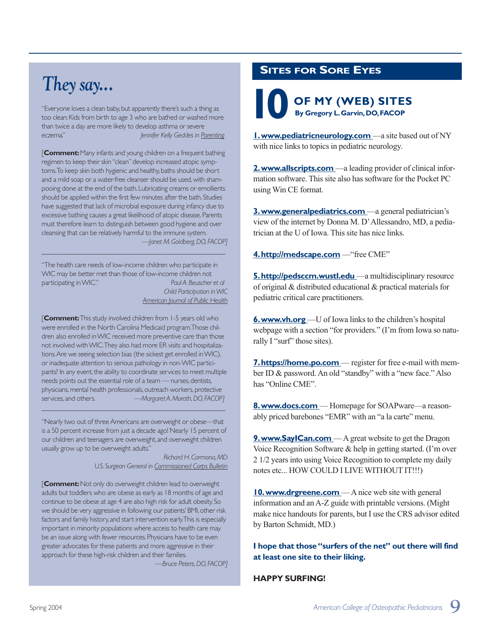# *They say...*

"Everyone loves a clean baby, but apparently there's such a thing as too clean: Kids from birth to age 3 who are bathed or washed more than twice a day are more likely to develop asthma or severe eczema." *Jennifer Kelly Geddes in Parenting*

[**Comment:**Many infants and young children on a frequent bathing regimen to keep their skin "clean" develop increased atopic symptoms. To keep skin both hygienic and healthy, baths should be short and a mild soap or a water-free cleanser should be used, with shampooing done at the end of the bath.Lubricating creams or emollients should be applied within the first few minutes after the bath. Studies have suggested that lack of microbial exposure during infancy due to excessive bathing causes a great likelihood of atopic disease. Parents must therefore learn to distinguish between good hygiene and over cleansing that can be relatively harmful to the immune system. *—Janet M.Goldberg,DO,FACOP]*

"The health care needs of low-income children who participate in WIC may be better met than those of low-income children not participating in WIC." *Paul A.Beuscher et al Child Participation in WIC American Journal of Public Health*

 $\_$  , and the set of the set of the set of the set of the set of the set of the set of the set of the set of the set of the set of the set of the set of the set of the set of the set of the set of the set of the set of th

[**Comment:**This study involved children from 1-5 years old who were enrolled in the North Carolina Medicaid program.Those children also enrolled in WIC received more preventive care than those not involved with WIC.They also had more ER visits and hospitalizations.Are we seeing selection bias (the sickest get enrolled in WIC), or inadequate attention to serious pathology in non-WIC participants? In any event, the ability to coordinate services to meet multiple needs points out the essential role of a team - nurses, dentists, physicians, mental health professionals, outreach workers, protective services,and others. *—Margaret A.Morath,DO,FACOP]*

"Nearly two out of three Americans are overweight or obese—that is a 50 percent increase from just a decade ago! Nearly 15 percent of our children and teenagers are overweight, and overweight children usually grow up to be overweight adults."

 $\_$  , and the set of the set of the set of the set of the set of the set of the set of the set of the set of the set of the set of the set of the set of the set of the set of the set of the set of the set of the set of th

*Richard H.Carmona,MD U.S.Surgeon General in Commissioned Corps Bulletin*

[**Comment:**Not only do overweight children lead to overweight adults but toddlers who are obese as early as 18 months of age and continue to be obese at age 4 are also high risk for adult obesity.So we should be very aggressive in following our patients' BMI, other risk factors and family history, and start intervention early. This is especially important in minority populations where access to health care may be an issue along with fewer resources.Physicians have to be even greater advocates for these patients and more aggressive in their approach for these high-risk children and their families.

*—Bruce Peters,DO,FACOP]*

# **SITES FOR SORE EYES**

**By Gregory L.Garvin,DO,FACOP OF MY (WEB) SITES** 

**1. www.pediatricneurology.com** —a site based out of NY with nice links to topics in pediatric neurology.

**2.www.allscripts.com** —a leading provider of clinical information software. This site also has software for the Pocket PC using Win CE format.

**3.www.generalpediatrics.com** —a general pediatrician's view of the internet by Donna M. D'Allessandro, MD, a pediatrician at the U of Iowa. This site has nice links.

**4.http://medscape.com** —"free CME"

**5.http://pedsccm.wustl.edu** —a multidisciplinary resource of original & distributed educational & practical materials for pediatric critical care practitioners.

**6. www.vh.org** —U of Iowa links to the children's hospital webpage with a section "for providers." (I'm from Iowa so naturally I "surf" those sites).

**7. https://home.po.com** — register for free e-mail with member ID & password. An old "standby" with a "new face." Also has "Online CME".

**8.www.docs.com** — Homepage for SOAPware—a reasonably priced barebones "EMR" with an "a la carte" menu.

**9. www.SayICan.com** — A great website to get the Dragon Voice Recognition Software & help in getting started. (I'm over 2 1/2 years into using Voice Recognition to complete my daily notes etc... HOW COULD I LIVE WITHOUT IT!!!)

**10.www.drgreene.com** — A nice web site with general information and an A-Z guide with printable versions. (Might make nice handouts for parents, but I use the CRS advisor edited by Barton Schmidt, MD.)

**I hope that those "surfers of the net" out there will find at least one site to their liking.**

#### **HAPPY SURFING!**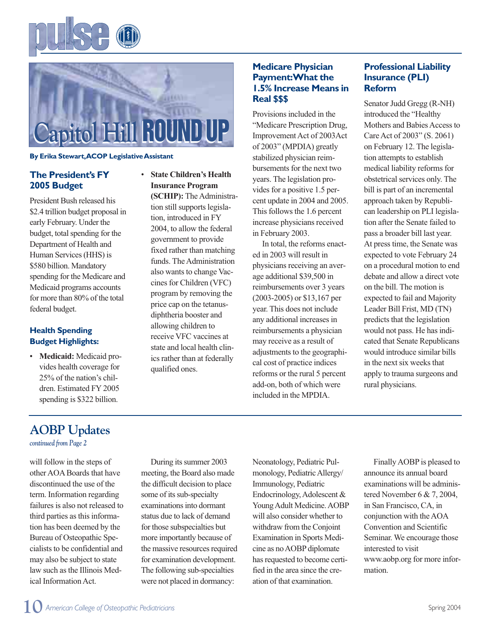



#### **By Erika Stewart,ACOP Legislative Assistant**

### **The President's FY 2005 Budget**

President Bush released his \$2.4 trillion budget proposal in early February. Under the budget, total spending for the Department of Health and Human Services (HHS) is \$580 billion. Mandatory spending for the Medicare and Medicaid programs accounts for more than 80% of the total federal budget.

### **Health Spending Budget Highlights:**

• **Medicaid:** Medicaid provides health coverage for 25% of the nation's children. Estimated FY 2005 spending is \$322 billion.

• **State Children's Health Insurance Program (SCHIP):** The Administra-

tion still supports legislation, introduced in FY 2004, to allow the federal government to provide fixed rather than matching funds. The Administration also wants to change Vaccines for Children (VFC) program by removing the price cap on the tetanusdiphtheria booster and allowing children to receive VFC vaccines at state and local health clinics rather than at federally qualified ones.

### **Medicare Physician Payment:What the 1.5% Increase Means in Real \$\$\$**

Provisions included in the "Medicare Prescription Drug, Improvement Act of 2003Act of 2003" (MPDIA) greatly stabilized physician reimbursements for the next two years. The legislation provides for a positive 1.5 percent update in 2004 and 2005. This follows the 1.6 percent increase physicians received in February 2003.

In total, the reforms enacted in 2003 will result in physicians receiving an average additional \$39,500 in reimbursements over 3 years (2003-2005) or \$13,167 per year. This does not include any additional increases in reimbursements a physician may receive as a result of adjustments to the geographical cost of practice indices reforms or the rural 5 percent add-on, both of which were included in the MPDIA.

### **Professional Liability Insurance (PLI) Reform**

Senator Judd Gregg (R-NH) introduced the "Healthy Mothers and Babies Access to Care Act of 2003" (S. 2061) on February 12. The legislation attempts to establish medical liability reforms for obstetrical services only. The bill is part of an incremental approach taken by Republican leadership on PLI legislation after the Senate failed to pass a broader bill last year. At press time, the Senate was expected to vote February 24 on a procedural motion to end debate and allow a direct vote on the bill. The motion is expected to fail and Majority Leader Bill Frist, MD (TN) predicts that the legislation would not pass. He has indicated that Senate Republicans would introduce similar bills in the next six weeks that apply to trauma surgeons and rural physicians.

# **AOBP Updates**

*continued from Page 2*

will follow in the steps of other AOA Boards that have discontinued the use of the term. Information regarding failures is also not released to third parties as this information has been deemed by the Bureau of Osteopathic Specialists to be confidential and may also be subject to state law such as the Illinois Medical Information Act.

During its summer 2003 meeting, the Board also made the difficult decision to place some of its sub-specialty examinations into dormant status due to lack of demand for those subspecialties but more importantly because of the massive resources required for examination development. The following sub-specialties were not placed in dormancy:

Neonatology, Pediatric Pulmonology, Pediatric Allergy/ Immunology, Pediatric Endocrinology, Adolescent & Young Adult Medicine. AOBP will also consider whether to withdraw from the Conjoint Examination in Sports Medicine as no AOBP diplomate has requested to become certified in the area since the creation of that examination.

Finally AOBP is pleased to announce its annual board examinations will be administered November 6 & 7, 2004, in San Francisco, CA, in conjunction with the AOA Convention and Scientific Seminar. We encourage those interested to visit www.aobp.org for more information.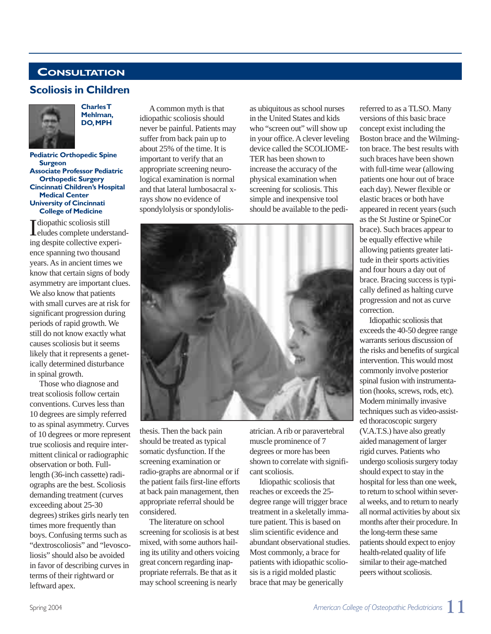# **CONSULTATION**

# **Scoliosis in Children**



**Charles T Mehlman, DO,MPH**

**Pediatric Orthopedic Spine Surgeon Associate Professor Pediatric Orthopedic Surgery Cincinnati Children's Hospital Medical Center University of Cincinnati College of Medicine**

I diopathic scoliosis still<br>
eludes complete under eludes complete understanding despite collective experience spanning two thousand years. As in ancient times we know that certain signs of body asymmetry are important clues. We also know that patients with small curves are at risk for significant progression during periods of rapid growth. We still do not know exactly what causes scoliosis but it seems likely that it represents a genetically determined disturbance in spinal growth.

Those who diagnose and treat scoliosis follow certain conventions. Curves less than 10 degrees are simply referred to as spinal asymmetry. Curves of 10 degrees or more represent true scoliosis and require intermittent clinical or radiographic observation or both. Fulllength (36-inch cassette) radiographs are the best. Scoliosis demanding treatment (curves exceeding about 25-30 degrees) strikes girls nearly ten times more frequently than boys. Confusing terms such as "dextroscoliosis" and "levoscoliosis" should also be avoided in favor of describing curves in terms of their rightward or leftward apex.

Acommon myth is that idiopathic scoliosis should never be painful. Patients may suffer from back pain up to about 25% of the time. It is important to verify that an appropriate screening neurological examination is normal and that lateral lumbosacral xrays show no evidence of spondylolysis or spondylolis-

as ubiquitous as school nurses in the United States and kids who "screen out" will show up in your office. A clever leveling device called the SCOLIOME-TER has been shown to increase the accuracy of the physical examination when screening for scoliosis. This simple and inexpensive tool should be available to the pedi-



thesis. Then the back pain should be treated as typical somatic dysfunction. If the screening examination or radio-graphs are abnormal or if the patient fails first-line efforts at back pain management, then appropriate referral should be considered.

The literature on school screening for scoliosis is at best mixed, with some authors hailing its utility and others voicing great concern regarding inappropriate referrals. Be that as it may school screening is nearly

atrician. A rib or paravertebral muscle prominence of 7 degrees or more has been shown to correlate with significant scoliosis.

Idiopathic scoliosis that reaches or exceeds the 25 degree range will trigger brace treatment in a skeletally immature patient. This is based on slim scientific evidence and abundant observational studies. Most commonly, a brace for patients with idiopathic scoliosis is a rigid molded plastic brace that may be generically

referred to as a TLSO. Many versions of this basic brace concept exist including the Boston brace and the Wilmington brace. The best results with such braces have been shown with full-time wear (allowing patients one hour out of brace each day). Newer flexible or elastic braces or both have appeared in recent years (such as the St Justine or SpineCor brace). Such braces appear to be equally effective while allowing patients greater latitude in their sports activities and four hours a day out of brace. Bracing success is typically defined as halting curve progression and not as curve correction.

Idiopathic scoliosis that exceeds the 40-50 degree range warrants serious discussion of the risks and benefits of surgical intervention. This would most commonly involve posterior spinal fusion with instrumentation (hooks, screws, rods, etc). Modern minimally invasive techniques such as video-assisted thoracoscopic surgery (V.A.T.S.) have also greatly aided management of larger rigid curves. Patients who undergo scoliosis surgery today should expect to stay in the hospital for less than one week, to return to school within several weeks, and to return to nearly all normal activities by about six months after their procedure. In the long-term these same patients should expect to enjoy health-related quality of life similar to their age-matched peers without scoliosis.